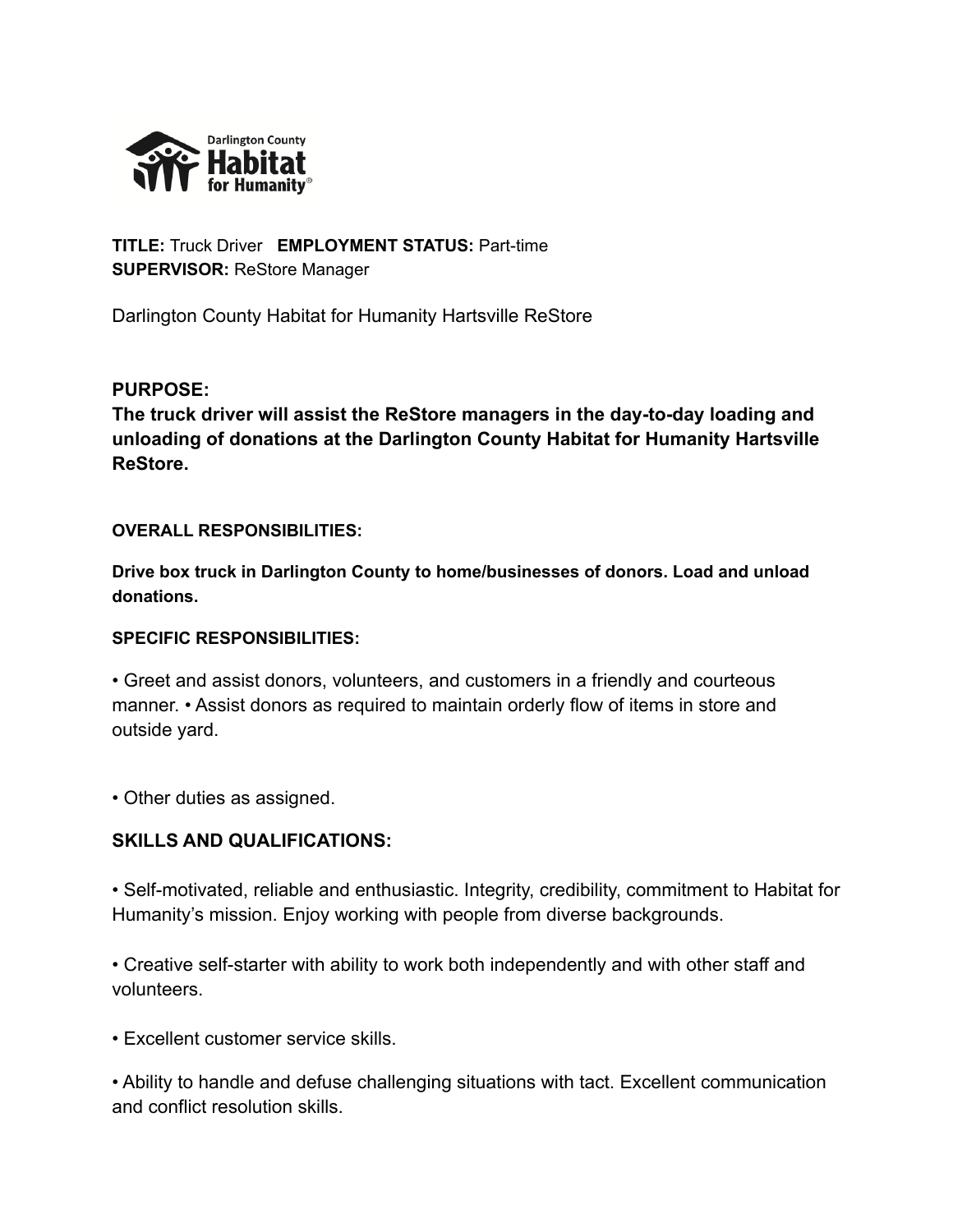

**TITLE:** Truck Driver **EMPLOYMENT STATUS:** Part-time **SUPERVISOR:** ReStore Manager

Darlington County Habitat for Humanity Hartsville ReStore

## **PURPOSE:**

**The truck driver will assist the ReStore managers in the day-to-day loading and unloading of donations at the Darlington County Habitat for Humanity Hartsville ReStore.**

### **OVERALL RESPONSIBILITIES:**

**Drive box truck in Darlington County to home/businesses of donors. Load and unload donations.**

## **SPECIFIC RESPONSIBILITIES:**

• Greet and assist donors, volunteers, and customers in a friendly and courteous manner. • Assist donors as required to maintain orderly flow of items in store and outside yard.

• Other duties as assigned.

# **SKILLS AND QUALIFICATIONS:**

• Self-motivated, reliable and enthusiastic. Integrity, credibility, commitment to Habitat for Humanity's mission. Enjoy working with people from diverse backgrounds.

• Creative self-starter with ability to work both independently and with other staff and volunteers.

• Excellent customer service skills.

• Ability to handle and defuse challenging situations with tact. Excellent communication and conflict resolution skills.